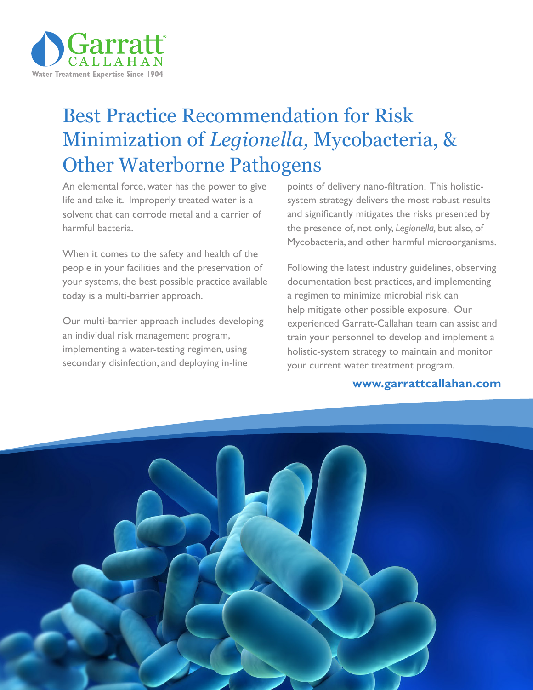

# Best Practice Recommendation for Risk Minimization of *Legionella,* Mycobacteria, & Other Waterborne Pathogens

An elemental force, water has the power to give life and take it. Improperly treated water is a solvent that can corrode metal and a carrier of harmful bacteria.

When it comes to the safety and health of the people in your facilities and the preservation of your systems, the best possible practice available today is a multi-barrier approach.

Our multi-barrier approach includes developing an individual risk management program, implementing a water-testing regimen, using secondary disinfection, and deploying in-line

points of delivery nano-filtration. This holisticsystem strategy delivers the most robust results and significantly mitigates the risks presented by the presence of, not only, *Legionella,* but also, of Mycobacteria, and other harmful microorganisms.

Following the latest industry guidelines, observing documentation best practices, and implementing a regimen to minimize microbial risk can help mitigate other possible exposure. Our experienced Garratt-Callahan team can assist and train your personnel to develop and implement a holistic-system strategy to maintain and monitor your current water treatment program.

#### **www.garrattcallahan.com**